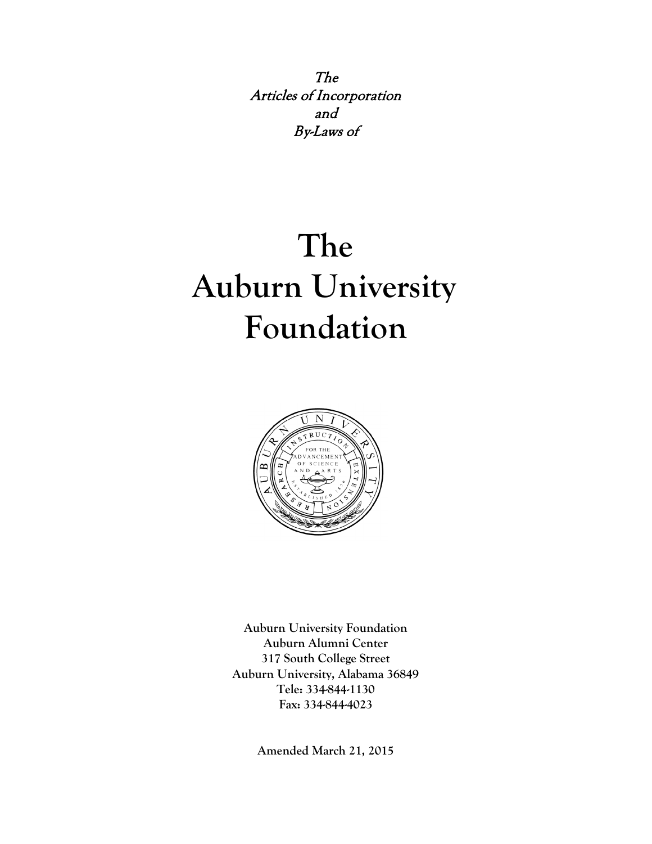The Articles of Incorporation and By-Laws of

# **The Auburn University Foundation**



**Auburn University Foundation Auburn Alumni Center 317 South College Street Auburn University, Alabama 36849 Tele: 334-844-1130 Fax: 334-844-4023**

**Amended March 21, 2015**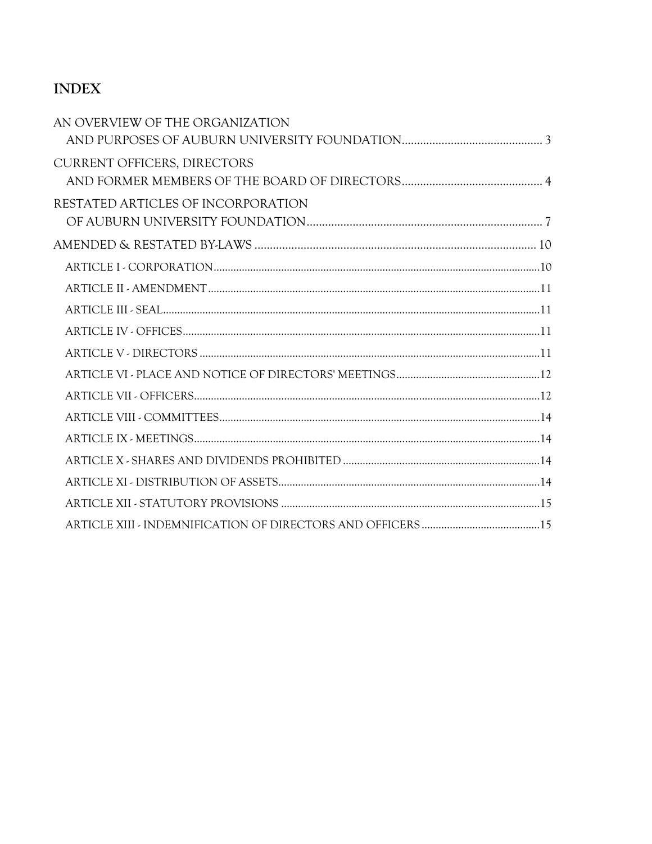# **INDEX**

| AN OVERVIEW OF THE ORGANIZATION    |  |
|------------------------------------|--|
| <b>CURRENT OFFICERS, DIRECTORS</b> |  |
| RESTATED ARTICLES OF INCORPORATION |  |
|                                    |  |
|                                    |  |
|                                    |  |
|                                    |  |
|                                    |  |
|                                    |  |
|                                    |  |
|                                    |  |
|                                    |  |
|                                    |  |
|                                    |  |
|                                    |  |
|                                    |  |
|                                    |  |
|                                    |  |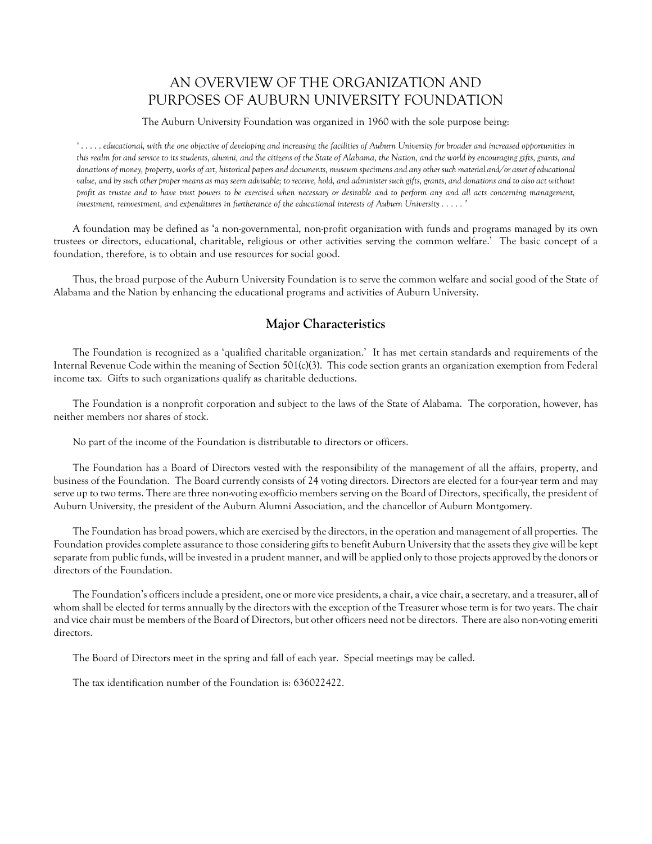# AN OVERVIEW OF THE ORGANIZATION AND PURPOSES OF AUBURN UNIVERSITY FOUNDATION

The Auburn University Foundation was organized in 1960 with the sole purpose being:

<span id="page-2-0"></span>*'* . . . . . *educational, with the one objective of developing and increasing the facilities of Auburn University for broader and increased opportunities in this realm for and service to its students, alumni, and the citizens of the State of Alabama, the Nation, and the world by encouraging gifts, grants, and donations of money, property, works of art, historical papers and documents, museum specimens and any other such material and/or asset of educational value, and by such other proper means as may seem advisable; to receive, hold, and administer such gifts, grants, and donations and to also act without profit as trustee and to have trust powers to be exercised when necessary or desirable and to perform any and all acts concerning management, investment, reinvestment, and expenditures in furtherance of the educational interests of Auburn University . . . . . '*

A foundation may be defined as 'a non-governmental, non-profit organization with funds and programs managed by its own trustees or directors, educational, charitable, religious or other activities serving the common welfare.' The basic concept of a foundation, therefore, is to obtain and use resources for social good.

Thus, the broad purpose of the Auburn University Foundation is to serve the common welfare and social good of the State of Alabama and the Nation by enhancing the educational programs and activities of Auburn University.

#### **Major Characteristics**

The Foundation is recognized as a 'qualified charitable organization.' It has met certain standards and requirements of the Internal Revenue Code within the meaning of Section 501(c)(3). This code section grants an organization exemption from Federal income tax. Gifts to such organizations qualify as charitable deductions.

The Foundation is a nonprofit corporation and subject to the laws of the State of Alabama. The corporation, however, has neither members nor shares of stock.

No part of the income of the Foundation is distributable to directors or officers.

The Foundation has a Board of Directors vested with the responsibility of the management of all the affairs, property, and business of the Foundation. The Board currently consists of 24 voting directors. Directors are elected for a four-year term and may serve up to two terms. There are three non-voting ex-officio members serving on the Board of Directors, specifically, the president of Auburn University, the president of the Auburn Alumni Association, and the chancellor of Auburn Montgomery.

The Foundation has broad powers, which are exercised by the directors, in the operation and management of all properties. The Foundation provides complete assurance to those considering gifts to benefit Auburn University that the assets they give will be kept separate from public funds, will be invested in a prudent manner, and will be applied only to those projects approved by the donors or directors of the Foundation.

The Foundation's officers include a president, one or more vice presidents, a chair, a vice chair, a secretary, and a treasurer, all of whom shall be elected for terms annually by the directors with the exception of the Treasurer whose term is for two years. The chair and vice chair must be members of the Board of Directors, but other officers need not be directors. There are also non-voting emeriti directors.

The Board of Directors meet in the spring and fall of each year. Special meetings may be called.

The tax identification number of the Foundation is: 636022422.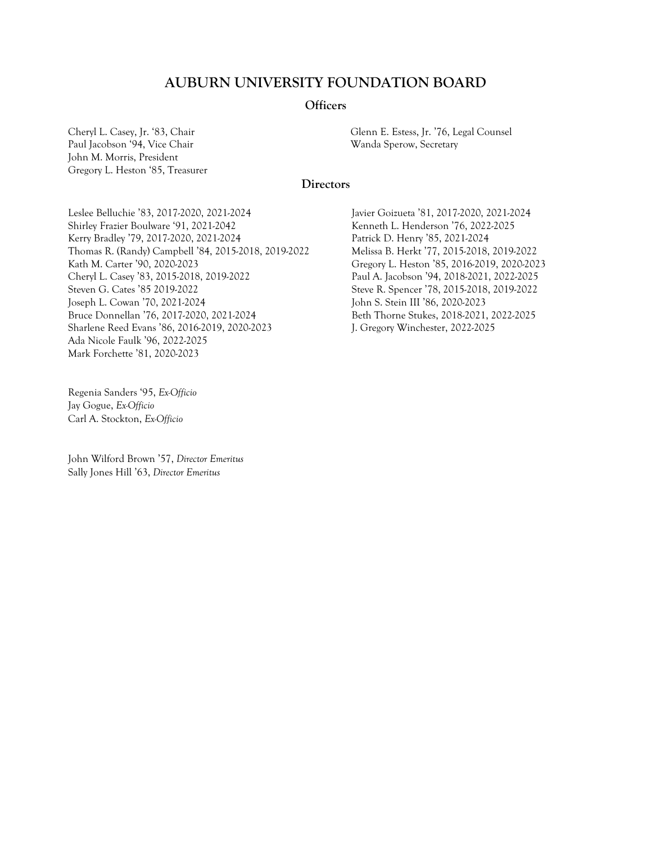#### **AUBURN UNIVERSITY FOUNDATION BOARD**

#### **Officers**

Paul Jacobson '94, Vice Chair National Sperow, Secretary Wanda Sperow, Secretary John M. Morris, President Gregory L. Heston '85, Treasurer

<span id="page-3-0"></span>Cheryl L. Casey, Jr. '83, Chair Glenn E. Estess, Jr. '76, Legal Counsel

#### **Directors**

Leslee Belluchie '83, 2017-2020, 2021-2024 Shirley Frazier Boulware '91, 2021-2042 Kerry Bradley '79, 2017-2020, 2021-2024 Thomas R. (Randy) Campbell '84, 2015-2018, 2019-2022 Kath M. Carter '90, 2020-2023 Cheryl L. Casey '83, 2015-2018, 2019-2022 Steven G. Cates '85 2019-2022 Joseph L. Cowan '70, 2021-2024 Bruce Donnellan '76, 2017-2020, 2021-2024 Sharlene Reed Evans '86, 2016-2019, 2020-2023 Ada Nicole Faulk '96, 2022-2025 Mark Forchette '81, 2020-2023

Regenia Sanders '95, *Ex-Officio* Jay Gogue, *Ex-Officio* Carl A. Stockton, *Ex-Officio*

John Wilford Brown '57, *Director Emeritus* Sally Jones Hill '63, *Director Emeritus*

Javier Goizueta '81, 2017-2020, 2021-2024 Kenneth L. Henderson '76, 2022-2025 Patrick D. Henry '85, 2021-2024 Melissa B. Herkt '77, 2015-2018, 2019-2022 Gregory L. Heston '85, 2016-2019, 2020-2023 Paul A. Jacobson '94, 2018-2021, 2022-2025 Steve R. Spencer '78, 2015-2018, 2019-2022 John S. Stein III '86, 2020-2023 Beth Thorne Stukes, 2018-2021, 2022-2025 J. Gregory Winchester, 2022-2025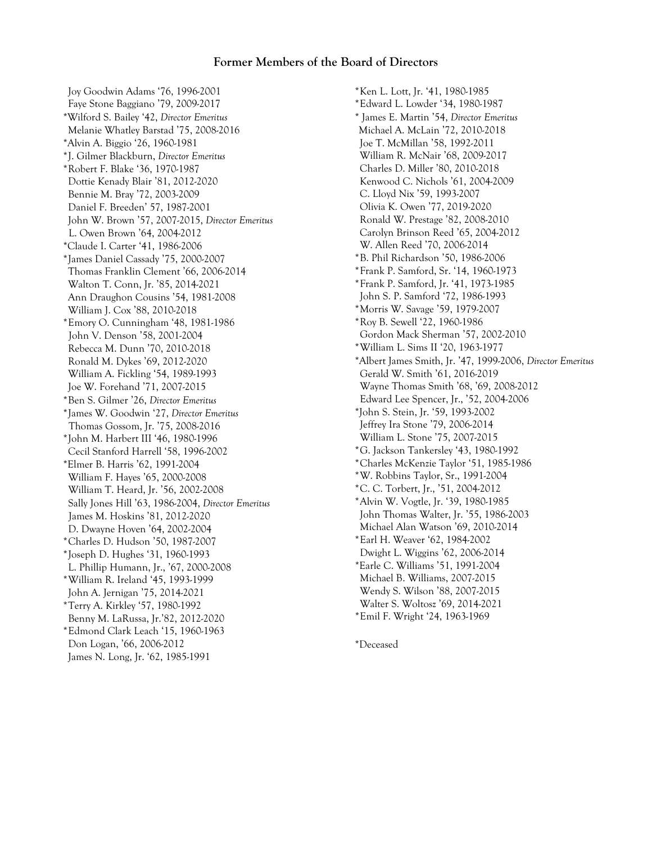#### **Former Members of the Board of Directors**

Joy Goodwin Adams '76, 1996-2001 Faye Stone Baggiano '79, 2009-2017 \*Wilford S. Bailey '42, *Director Emeritus* Melanie Whatley Barstad '75, 2008-2016 \*Alvin A. Biggio '26, 1960-1981 \*J. Gilmer Blackburn, *Director Emeritus* \*Robert F. Blake '36, 1970-1987 Dottie Kenady Blair '81, 2012-2020 Bennie M. Bray '72, 2003-2009 Daniel F. Breeden' 57, 1987-2001 John W. Brown '57, 2007-2015, *Director Emeritus* L. Owen Brown '64, 2004-2012 \*Claude I. Carter '41, 1986-2006 \*James Daniel Cassady '75, 2000-2007 Thomas Franklin Clement '66, 2006-2014 Walton T. Conn, Jr. '85, 2014-2021 Ann Draughon Cousins '54, 1981-2008 William J. Cox '88, 2010-2018 \*Emory O. Cunningham '48, 1981-1986 John V. Denson '58, 2001-2004 Rebecca M. Dunn '70, 2010-2018 Ronald M. Dykes '69, 2012-2020 William A. Fickling '54, 1989-1993 Joe W. Forehand '71, 2007-2015 \*Ben S. Gilmer '26, *Director Emeritus* \*James W. Goodwin '27, *Director Emeritus* Thomas Gossom, Jr. '75, 2008-2016 \*John M. Harbert III '46, 1980-1996 Cecil Stanford Harrell '58, 1996-2002 \*Elmer B. Harris '62, 1991-2004 William F. Hayes '65, 2000-2008 William T. Heard, Jr. '56, 2002-2008 Sally Jones Hill '63, 1986-2004, *Director Emeritus* James M. Hoskins '81, 2012-2020 D. Dwayne Hoven '64, 2002-2004 \*Charles D. Hudson '50, 1987-2007 \*Joseph D. Hughes '31, 1960-1993 L. Phillip Humann, Jr., '67, 2000-2008 \*William R. Ireland '45, 1993-1999 John A. Jernigan '75, 2014-2021 \*Terry A. Kirkley '57, 1980-1992 Benny M. LaRussa, Jr.'82, 2012-2020 \*Edmond Clark Leach '15, 1960-1963 Don Logan, '66, 2006-2012 James N. Long, Jr. '62, 1985-1991

\*Ken L. Lott, Jr. '41, 1980-1985 \*Edward L. Lowder '34, 1980-1987 \* James E. Martin '54, *Director Emeritus* Michael A. McLain '72, 2010-2018 Joe T. McMillan '58, 1992-2011 William R. McNair '68, 2009-2017 Charles D. Miller '80, 2010-2018 Kenwood C. Nichols '61, 2004-2009 C. Lloyd Nix '59, 1993-2007 Olivia K. Owen '77, 2019-2020 Ronald W. Prestage '82, 2008-2010 Carolyn Brinson Reed '65, 2004-2012 W. Allen Reed '70, 2006-2014 \*B. Phil Richardson '50, 1986-2006 \*Frank P. Samford, Sr. '14, 1960-1973 \*Frank P. Samford, Jr. '41, 1973-1985 John S. P. Samford '72, 1986-1993 \*Morris W. Savage '59, 1979-2007 \*Roy B. Sewell '22, 1960-1986 Gordon Mack Sherman '57, 2002-2010 \*William L. Sims II '20, 1963-1977 \*Albert James Smith, Jr. '47, 1999-2006, *Director Emeritus* Gerald W. Smith '61, 2016-2019 Wayne Thomas Smith '68, '69, 2008-2012 Edward Lee Spencer, Jr., '52, 2004-2006 \*John S. Stein, Jr. '59, 1993-2002 Jeffrey Ira Stone '79, 2006-2014 William L. Stone '75, 2007-2015 \*G. Jackson Tankersley '43, 1980-1992 \*Charles McKenzie Taylor '51, 1985-1986 \*W. Robbins Taylor, Sr., 1991-2004 \*C. C. Torbert, Jr., '51, 2004-2012 \*Alvin W. Vogtle, Jr. '39, 1980-1985 John Thomas Walter, Jr. '55, 1986-2003 Michael Alan Watson '69, 2010-2014 \*Earl H. Weaver '62, 1984-2002 Dwight L. Wiggins '62, 2006-2014 \*Earle C. Williams '51, 1991-2004 Michael B. Williams, 2007-2015 Wendy S. Wilson '88, 2007-2015 Walter S. Woltosz '69, 2014-2021 \*Emil F. Wright '24, 1963-1969

\*Deceased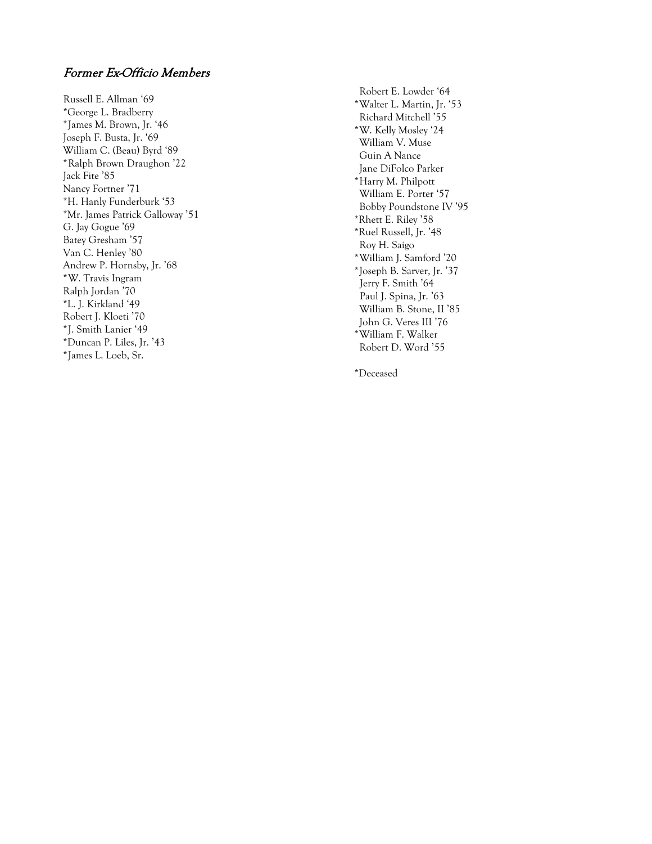#### Former Ex-Officio Members

Russell E. Allman '69 \*George L. Bradberry \*James M. Brown, Jr. '46 Joseph F. Busta, Jr. '69 William C. (Beau) Byrd '89 \*Ralph Brown Draughon '22 Jack Fite '85 Nancy Fortner '7 1 \*H. Hanly Funderburk '53 \*Mr. James Patrick Galloway '51 G. Jay Gogue '69 Batey Gresham '57 Van C. Henley '80 Andrew P. Hornsby, Jr. '68 \*W. Travis Ingram Ralph Jordan '70 \*L. J. Kirkland '49 Robert J. Kloeti '70 \*J. Smith Lanier '49 \*Duncan P. Liles, Jr. '43 \*James L. Loeb, Sr.

Robert E. Lowder '64 \* Walter L. Martin, Jr. '53 Richard Mitchell '55 \*W. Kelly Mosley '24 William V. Muse Gu in A Nance Jane DiFolco Parker \*Harry M. Philpott William E. Porter '57 Bobby Poundstone IV '95 \*Rhett E. Riley '58 \*Ruel Russell, Jr. '48 Roy H. Saigo \*William J. Samford '20 \*Joseph B. Sarver, Jr. '37 Jerry F. Smith '64 Paul J. Spina, Jr. '63 William B. St one, II '85 John G. Veres III '76 \*William F. Walker Robert D. Word '55

\*Deceased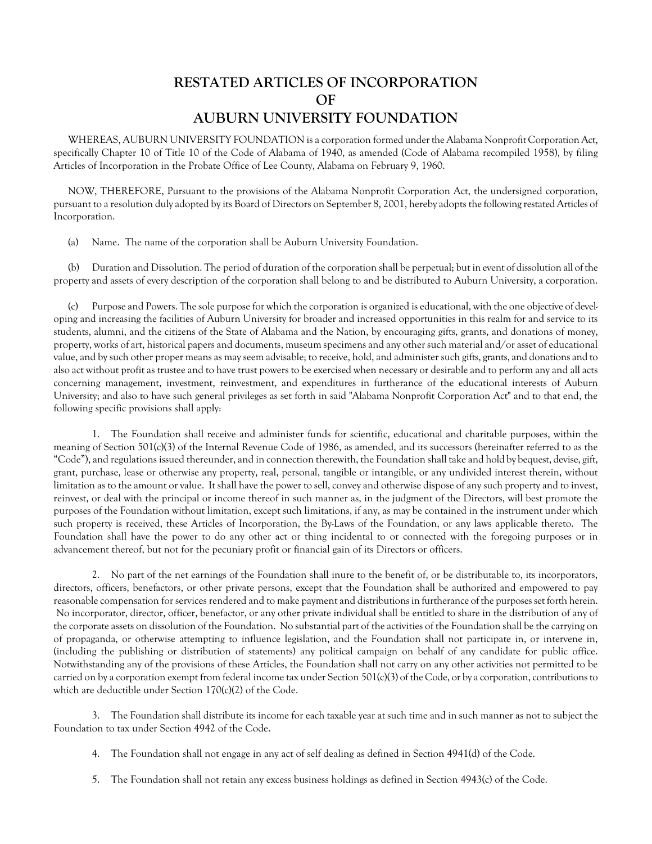## **RESTATED ARTICLES OF INCORPORATION OF AUBURN UNIVERSITY FOUNDATION**

<span id="page-6-0"></span>WHEREAS, AUBURN UNIVERSITY FOUNDATION is a corporation formed under the Alabama Nonprofit Corporation Act, specifically Chapter 10 of Title 10 of the Code of Alabama of 1940, as amended (Code of Alabama recompiled 1958), by filing Articles of Incorporation in the Probate Office of Lee County, Alabama on February 9, 1960.

NOW, THEREFORE, Pursuant to the provisions of the Alabama Nonprofit Corporation Act, the undersigned corporation, pursuant to a resolution duly adopted by its Board of Directors on September 8, 2001, hereby adopts the following restated Articles of Incorporation.

(a) Name. The name of the corporation shall be Auburn University Foundation.

(b) Duration and Dissolution. The period of duration of the corporation shall be perpetual; but in event of dissolution all of the property and assets of every description of the corporation shall belong to and be distributed to Auburn University, a corporation.

(c) Purpose and Powers. The sole purpose for which the corporation is organized is educational, with the one objective of developing and increasing the facilities of Auburn University for broader and increased opportunities in this realm for and service to its students, alumni, and the citizens of the State of Alabama and the Nation, by encouraging gifts, grants, and donations of money, property, works of art, historical papers and documents, museum specimens and any other such material and/or asset of educational value, and by such other proper means as may seem advisable; to receive, hold, and administer such gifts, grants, and donations and to also act without profit as trustee and to have trust powers to be exercised when necessary or desirable and to perform any and all acts concerning management, investment, reinvestment, and expenditures in furtherance of the educational interests of Auburn University; and also to have such general privileges as set forth in said "Alabama Nonprofit Corporation Act" and to that end, the following specific provisions shall apply:

1. The Foundation shall receive and administer funds for scientific, educational and charitable purposes, within the meaning of Section 501(c)(3) of the Internal Revenue Code of 1986, as amended, and its successors (hereinafter referred to as the "Code"), and regulations issued thereunder, and in connection therewith, the Foundation shall take and hold by bequest, devise, gift, grant, purchase, lease or otherwise any property, real, personal, tangible or intangible, or any undivided interest therein, without limitation as to the amount or value. It shall have the power to sell, convey and otherwise dispose of any such property and to invest, reinvest, or deal with the principal or income thereof in such manner as, in the judgment of the Directors, will best promote the purposes of the Foundation without limitation, except such limitations, if any, as may be contained in the instrument under which such property is received, these Articles of Incorporation, the By-Laws of the Foundation, or any laws applicable thereto. The Foundation shall have the power to do any other act or thing incidental to or connected with the foregoing purposes or in advancement thereof, but not for the pecuniary profit or financial gain of its Directors or officers.

2. No part of the net earnings of the Foundation shall inure to the benefit of, or be distributable to, its incorporators, directors, officers, benefactors, or other private persons, except that the Foundation shall be authorized and empowered to pay reasonable compensation for services rendered and to make payment and distributions in furtherance of the purposes set forth herein. No incorporator, director, officer, benefactor, or any other private individual shall be entitled to share in the distribution of any of the corporate assets on dissolution of the Foundation. No substantial part of the activities of the Foundation shall be the carrying on of propaganda, or otherwise attempting to influence legislation, and the Foundation shall not participate in, or intervene in, (including the publishing or distribution of statements) any political campaign on behalf of any candidate for public office. Notwithstanding any of the provisions of these Articles, the Foundation shall not carry on any other activities not permitted to be carried on by a corporation exempt from federal income tax under Section 501(c)(3) of the Code, or by a corporation, contributions to which are deductible under Section 170(c)(2) of the Code.

3. The Foundation shall distribute its income for each taxable year at such time and in such manner as not to subject the Foundation to tax under Section 4942 of the Code.

- 4. The Foundation shall not engage in any act of self dealing as defined in Section 4941(d) of the Code.
- 5. The Foundation shall not retain any excess business holdings as defined in Section 4943(c) of the Code.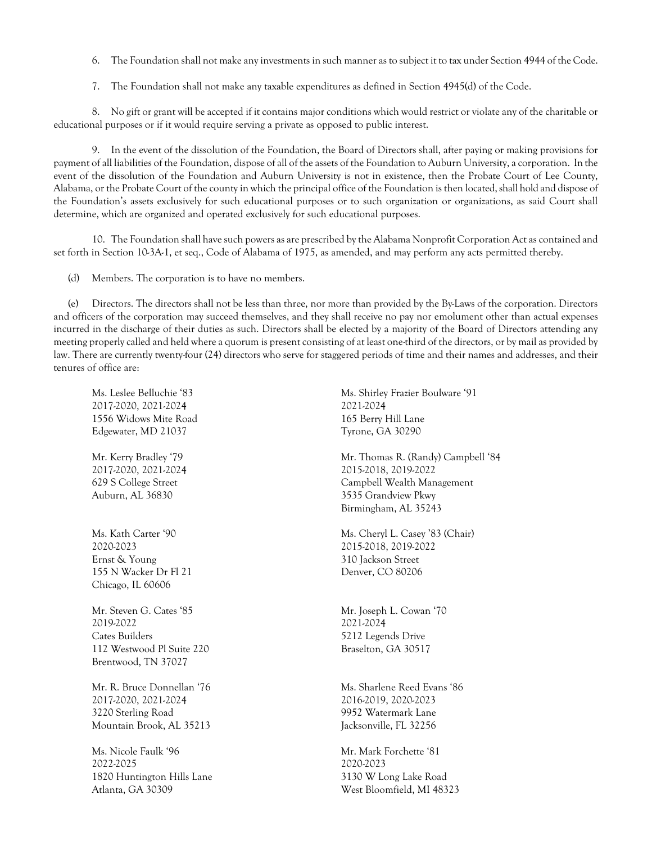- 6. The Foundation shall not make any investments in such manner as to subject it to tax under Section 4944 of the Code.
- 7. The Foundation shall not make any taxable expenditures as defined in Section 4945(d) of the Code.

8. No gift or grant will be accepted if it contains major conditions which would restrict or violate any of the charitable or educational purposes or if it would require serving a private as opposed to public interest.

9. In the event of the dissolution of the Foundation, the Board of Directors shall, after paying or making provisions for payment of all liabilities of the Foundation, dispose of all of the assets of the Foundation to Auburn University, a corporation. In the event of the dissolution of the Foundation and Auburn University is not in existence, then the Probate Court of Lee County, Alabama, or the Probate Court of the county in which the principal office of the Foundation is then located, shall hold and dispose of the Foundation's assets exclusively for such educational purposes or to such organization or organizations, as said Court shall determine, which are organized and operated exclusively for such educational purposes.

10. The Foundation shall have such powers as are prescribed by the Alabama Nonprofit Corporation Act as contained and set forth in Section 10-3A-1, et seq., Code of Alabama of 1975, as amended, and may perform any acts permitted thereby.

(d) Members. The corporation is to have no members.

(e) Directors. The directors shall not be less than three, nor more than provided by the By-Laws of the corporation. Directors and officers of the corporation may succeed themselves, and they shall receive no pay nor emolument other than actual expenses incurred in the discharge of their duties as such. Directors shall be elected by a majority of the Board of Directors attending any meeting properly called and held where a quorum is present consisting of at least one-third of the directors, or by mail as provided by law. There are currently twenty-four (24) directors who serve for staggered periods of time and their names and addresses, and their tenures of office are:

Ms. Leslee Belluchie '83 2017-2020, 2021-2024 1556 Widows Mite Road Edgewater, MD 21037

Mr. Kerry Bradley '79 2017-2020, 2021-2024 629 S College Street Auburn, AL 36830

Ms. Kath Carter '90 2020-2023 Ernst & Young 155 N Wacker Dr Fl 21 Chicago, IL 60606

Mr. Steven G. Cates '85 2019-2022 Cates Builders 112 Westwood Pl Suite 220 Brentwood, TN 37027

Mr. R. Bruce Donnellan '76 2017-2020, 2021-2024 3220 Sterling Road Mountain Brook, AL 35213

Ms. Nicole Faulk '96 2022-2025 1820 Huntington Hills Lane Atlanta, GA 30309

Ms. Shirley Frazier Boulware '91 2021-2024 165 Berry Hill Lane Tyrone, GA 30290

Mr. Thomas R. (Randy) Campbell '84 2015-2018, 2019-2022 Campbell Wealth Management 3535 Grandview Pkwy Birmingham, AL 35243

Ms. Cheryl L. Casey '83 (Chair) 2015-2018, 2019-2022 310 Jackson Street Denver, CO 80206

Mr. Joseph L. Cowan '70 2021-2024 5212 Legends Drive Braselton, GA 30517

Ms. Sharlene Reed Evans '86 2016-2019, 2020-2023 9952 Watermark Lane Jacksonville, FL 32256

Mr. Mark Forchette '81 2020-2023 3130 W Long Lake Road West Bloomfield, MI 48323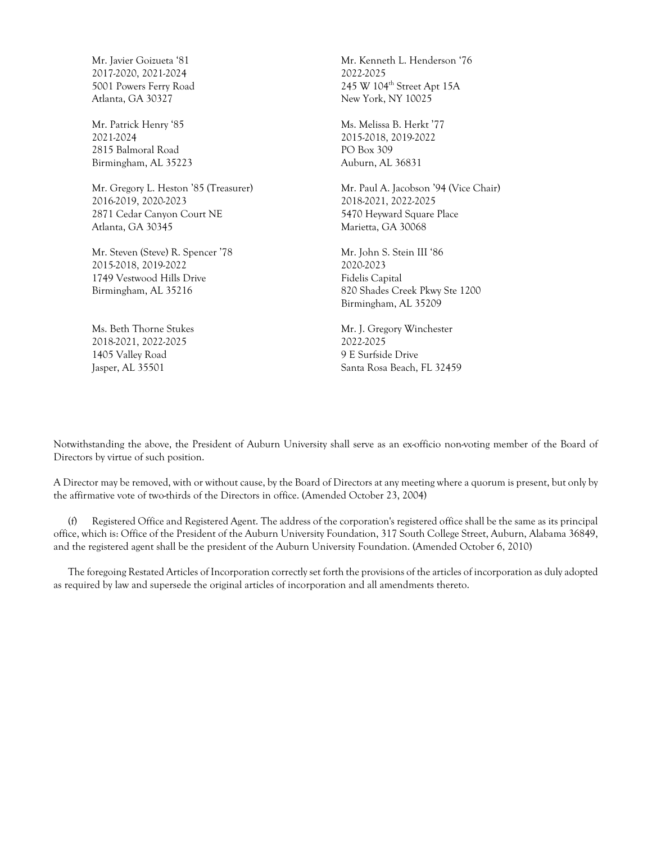Mr. Javier Goizueta '81 2017-2020, 2021-2024 5001 Powers Ferry Road Atlanta, GA 30327

Mr. Patrick Henry '85 2021-2024 2815 Balmoral Road Birmingham, AL 35223

Mr. Gregory L. Heston '85 (Treasurer) 2016-2019, 2020-2023 2871 Cedar Canyon Court NE Atlanta, GA 30345

Mr. Steven (Steve) R. Spencer '78 2015-2018, 2019-2022 1749 Vestwood Hills Drive Birmingham, AL 35216

Ms. Beth Thorne Stukes 2018-2021, 2022-2025 1405 Valley Road Jasper, AL 35501

Mr. Kenneth L. Henderson '76 2022-2025 245 W 104<sup>th</sup> Street Apt 15A New York, NY 10025

Ms. Melissa B. Herkt '77 2015-2018, 2019-2022 PO Box 309 Auburn, AL 36831

Mr. Paul A. Jacobson '94 (Vice Chair) 2018-2021, 2022-2025 5470 Heyward Square Place Marietta, GA 30068

Mr. John S. Stein III '86 2020-2023 Fidelis Capital 820 Shades Creek Pkwy Ste 1200 Birmingham, AL 35209

Mr. J. Gregory Winchester 2022-2025 9 E Surfside Drive Santa Rosa Beach, FL 32459

Notwithstanding the above, the President of Auburn University shall serve as an ex-officio non-voting member of the Board of Directors by virtue of such position.

A Director may be removed, with or without cause, by the Board of Directors at any meeting where a quorum is present, but only by the affirmative vote of two-thirds of the Directors in office. (Amended October 23, 2004)

(f) Registered Office and Registered Agent. The address of the corporation's registered office shall be the same as its principal office, which is: Office of the President of the Auburn University Foundation, 317 South College Street, Auburn, Alabama 36849, and the registered agent shall be the president of the Auburn University Foundation. (Amended October 6, 2010)

The foregoing Restated Articles of Incorporation correctly set forth the provisions of the articles of incorporation as duly adopted as required by law and supersede the original articles of incorporation and all amendments thereto.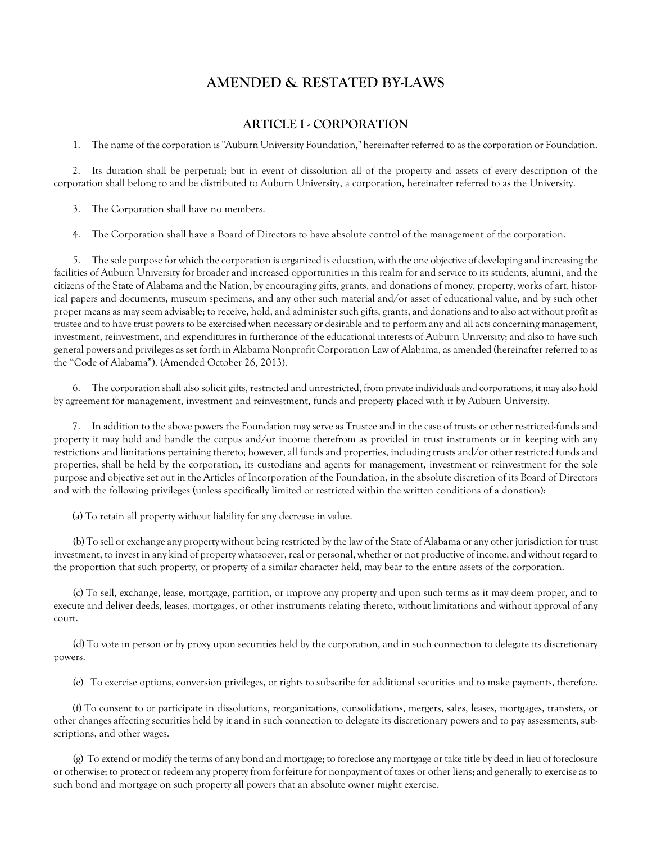## **AMENDED & RESTATED BY-LAWS**

#### **ARTICLE I - CORPORATION**

<span id="page-9-1"></span><span id="page-9-0"></span>1. The name of the corporation is "Auburn University Foundation," hereinafter referred to as the corporation or Foundation.

2. Its duration shall be perpetual; but in event of dissolution all of the property and assets of every description of the corporation shall belong to and be distributed to Auburn University, a corporation, hereinafter referred to as the University.

3. The Corporation shall have no members.

4. The Corporation shall have a Board of Directors to have absolute control of the management of the corporation.

5. The sole purpose for which the corporation is organized is education, with the one objective of developing and increasing the facilities of Auburn University for broader and increased opportunities in this realm for and service to its students, alumni, and the citizens of the State of Alabama and the Nation, by encouraging gifts, grants, and donations of money, property, works of art, historical papers and documents, museum specimens, and any other such material and/or asset of educational value, and by such other proper means as may seem advisable; to receive, hold, and administer such gifts, grants, and donations and to also act without profit as trustee and to have trust powers to be exercised when necessary or desirable and to perform any and all acts concerning management, investment, reinvestment, and expenditures in furtherance of the educational interests of Auburn University; and also to have such general powers and privileges as set forth in Alabama Nonprofit Corporation Law of Alabama, as amended (hereinafter referred to as the "Code of Alabama"). (Amended October 26, 2013).

6. The corporation shall also solicit gifts, restricted and unrestricted, from private individuals and corporations; it may also hold by agreement for management, investment and reinvestment, funds and property placed with it by Auburn University.

7. In addition to the above powers the Foundation may serve as Trustee and in the case of trusts or other restricted-funds and property it may hold and handle the corpus and/or income therefrom as provided in trust instruments or in keeping with any restrictions and limitations pertaining thereto; however, all funds and properties, including trusts and/or other restricted funds and properties, shall be held by the corporation, its custodians and agents for management, investment or reinvestment for the sole purpose and objective set out in the Articles of Incorporation of the Foundation, in the absolute discretion of its Board of Directors and with the following privileges (unless specifically limited or restricted within the written conditions of a donation):

(a) To retain all property without liability for any decrease in value.

(b) To sell or exchange any property without being restricted by the law of the State of Alabama or any other jurisdiction for trust investment, to invest in any kind of property whatsoever, real or personal, whether or not productive of income, and without regard to the proportion that such property, or property of a similar character held, may bear to the entire assets of the corporation.

(c) To sell, exchange, lease, mortgage, partition, or improve any property and upon such terms as it may deem proper, and to execute and deliver deeds, leases, mortgages, or other instruments relating thereto, without limitations and without approval of any court.

(d) To vote in person or by proxy upon securities held by the corporation, and in such connection to delegate its discretionary powers.

(e) To exercise options, conversion privileges, or rights to subscribe for additional securities and to make payments, therefore.

(f) To consent to or participate in dissolutions, reorganizations, consolidations, mergers, sales, leases, mortgages, transfers, or other changes affecting securities held by it and in such connection to delegate its discretionary powers and to pay assessments, subscriptions, and other wages.

(g) To extend or modify the terms of any bond and mortgage; to foreclose any mortgage or take title by deed in lieu of foreclosure or otherwise; to protect or redeem any property from forfeiture for nonpayment of taxes or other liens; and generally to exercise as to such bond and mortgage on such property all powers that an absolute owner might exercise.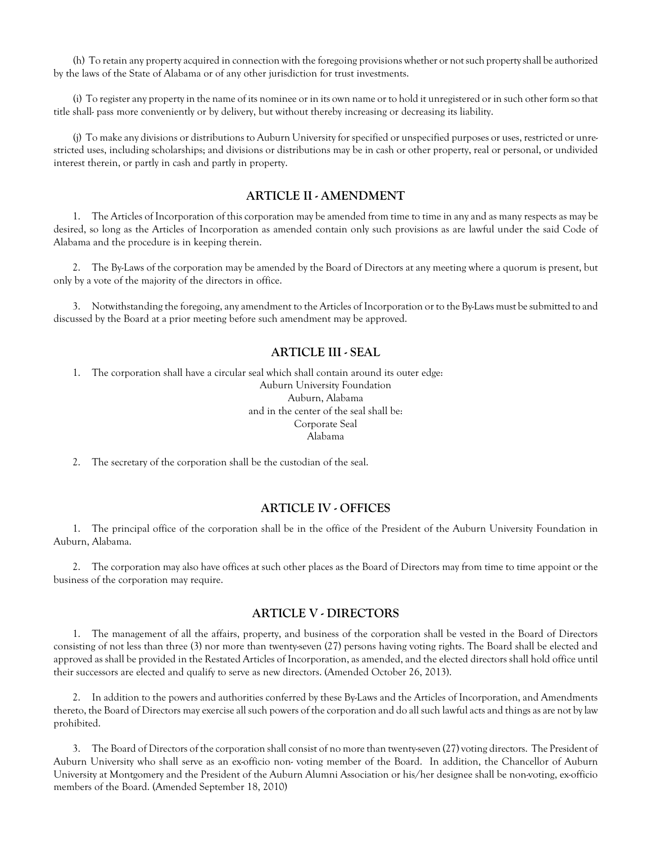(h) To retain any property acquired in connection with the foregoing provisions whether or not such property shall be authorized by the laws of the State of Alabama or of any other jurisdiction for trust investments.

(i) To register any property in the name of its nominee or in its own name or to hold it unregistered or in such other form so that title shall- pass more conveniently or by delivery, but without thereby increasing or decreasing its liability.

<span id="page-10-0"></span>(j) To make any divisions or distributions to Auburn University for specified or unspecified purposes or uses, restricted or unrestricted uses, including scholarships; and divisions or distributions may be in cash or other property, real or personal, or undivided interest therein, or partly in cash and partly in property.

#### **ARTICLE II - AMENDMENT**

1. The Articles of Incorporation of this corporation may be amended from time to time in any and as many respects as may be desired, so long as the Articles of Incorporation as amended contain only such provisions as are lawful under the said Code of Alabama and the procedure is in keeping therein.

2. The By-Laws of the corporation may be amended by the Board of Directors at any meeting where a quorum is present, but only by a vote of the majority of the directors in office.

<span id="page-10-1"></span>3. Notwithstanding the foregoing, any amendment to the Articles of Incorporation or to the By-Laws must be submitted to and discussed by the Board at a prior meeting before such amendment may be approved.

#### **ARTICLE III - SEAL**

1. The corporation shall have a circular seal which shall contain around its outer edge: Auburn University Foundation Auburn, Alabama and in the center of the seal shall be:

> Corporate Seal Alabama

<span id="page-10-2"></span>2. The secretary of the corporation shall be the custodian of the seal.

#### **ARTICLE IV - OFFICES**

1. The principal office of the corporation shall be in the office of the President of the Auburn University Foundation in Auburn, Alabama.

<span id="page-10-3"></span>2. The corporation may also have offices at such other places as the Board of Directors may from time to time appoint or the business of the corporation may require.

#### **ARTICLE V - DIRECTORS**

1. The management of all the affairs, property, and business of the corporation shall be vested in the Board of Directors consisting of not less than three (3) nor more than twenty-seven (27) persons having voting rights. The Board shall be elected and approved as shall be provided in the Restated Articles of Incorporation, as amended, and the elected directors shall hold office until their successors are elected and qualify to serve as new directors. (Amended October 26, 2013).

2. In addition to the powers and authorities conferred by these By-Laws and the Articles of Incorporation, and Amendments thereto, the Board of Directors may exercise all such powers of the corporation and do all such lawful acts and things as are not by law prohibited.

3. The Board of Directors of the corporation shall consist of no more than twenty-seven (27) voting directors. The President of Auburn University who shall serve as an ex-officio non- voting member of the Board. In addition, the Chancellor of Auburn University at Montgomery and the President of the Auburn Alumni Association or his/her designee shall be non-voting, ex-officio members of the Board. (Amended September 18, 2010)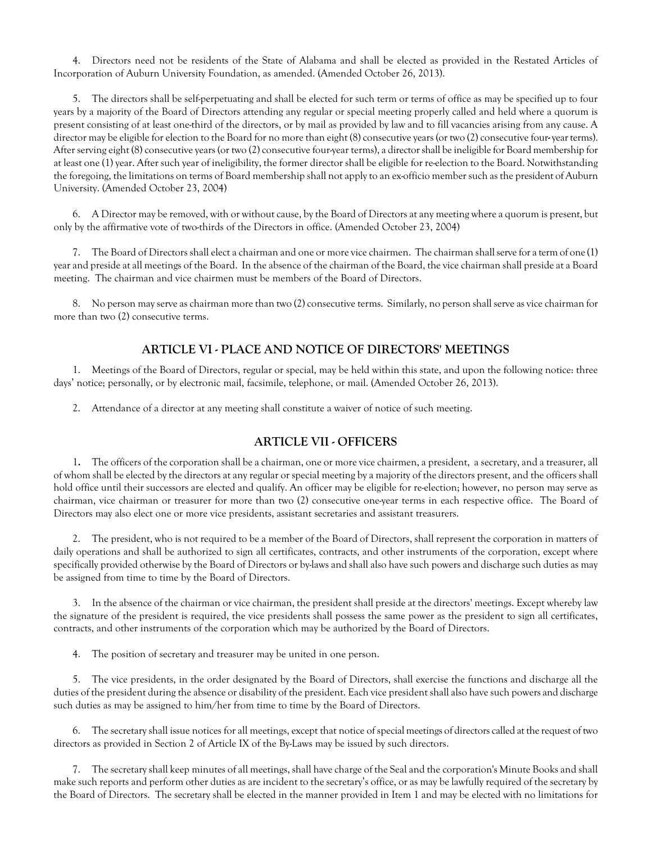4. Directors need not be residents of the State of Alabama and shall be elected as provided in the Restated Articles of Incorporation of Auburn University Foundation, as amended. (Amended October 26, 2013).

5. The directors shall be self-perpetuating and shall be elected for such term or terms of office as may be specified up to four years by a majority of the Board of Directors attending any regular or special meeting properly called and held where a quorum is present consisting of at least one-third of the directors, or by mail as provided by law and to fill vacancies arising from any cause. A director may be eligible for election to the Board for no more than eight (8) consecutive years (or two (2) consecutive four**-**year terms). After serving eight (8) consecutive years (or two (2) consecutive four-year terms), a director shall be ineligible for Board membership for at least one (1) year. After such year of ineligibility, the former director shall be eligible for re-election to the Board. Notwithstanding the foregoing, the limitations on terms of Board membership shall not apply to an ex-officio member such as the president of Auburn University. (Amended October 23, 2004)

6. A Director may be removed, with or without cause, by the Board of Directors at any meeting where a quorum is present, but only by the affirmative vote of two-thirds of the Directors in office. (Amended October 23, 2004)

7. The Board of Directors shall elect a chairman and one or more vice chairmen. The chairman shall serve for a term of one (1) year and preside at all meetings of the Board. In the absence of the chairman of the Board, the vice chairman shall preside at a Board meeting. The chairman and vice chairmen must be members of the Board of Directors.

<span id="page-11-0"></span>8. No person may serve as chairman more than two (2) consecutive terms. Similarly, no person shall serve as vice chairman for more than two (2) consecutive terms.

## **ARTICLE VI - PLACE AND NOTICE OF DIRECTORS' MEETINGS**

1. Meetings of the Board of Directors, regular or special, may be held within this state, and upon the following notice: three days' notice; personally, or by electronic mail, facsimile, telephone, or mail. (Amended October 26, 2013).

<span id="page-11-1"></span>2. Attendance of a director at any meeting shall constitute a waiver of notice of such meeting.

## **ARTICLE VII - OFFICERS**

1**.** The officers of the corporation shall be a chairman, one or more vice chairmen, a president, a secretary, and a treasurer, all of whom shall be elected by the directors at any regular or special meeting by a majority of the directors present, and the officers shall hold office until their successors are elected and qualify. An officer may be eligible for re-election; however, no person may serve as chairman, vice chairman or treasurer for more than two (2) consecutive one-year terms in each respective office. The Board of Directors may also elect one or more vice presidents, assistant secretaries and assistant treasurers.

2. The president, who is not required to be a member of the Board of Directors, shall represent the corporation in matters of daily operations and shall be authorized to sign all certificates, contracts, and other instruments of the corporation, except where specifically provided otherwise by the Board of Directors or by-laws and shall also have such powers and discharge such duties as may be assigned from time to time by the Board of Directors.

3. In the absence of the chairman or vice chairman, the president shall preside at the directors' meetings. Except whereby law the signature of the president is required, the vice presidents shall possess the same power as the president to sign all certificates, contracts, and other instruments of the corporation which may be authorized by the Board of Directors.

4. The position of secretary and treasurer may be united in one person.

5. The vice presidents, in the order designated by the Board of Directors, shall exercise the functions and discharge all the duties of the president during the absence or disability of the president. Each vice president shall also have such powers and discharge such duties as may be assigned to him/her from time to time by the Board of Directors.

6. The secretary shall issue notices for all meetings, except that notice of special meetings of directors called at the request of two directors as provided in Section 2 of Article IX of the By-Laws may be issued by such directors.

7. The secretary shall keep minutes of all meetings, shall have charge of the Seal and the corporation's Minute Books and shall make such reports and perform other duties as are incident to the secretary's office, or as may be lawfully required of the secretary by the Board of Directors. The secretary shall be elected in the manner provided in Item 1 and may be elected with no limitations for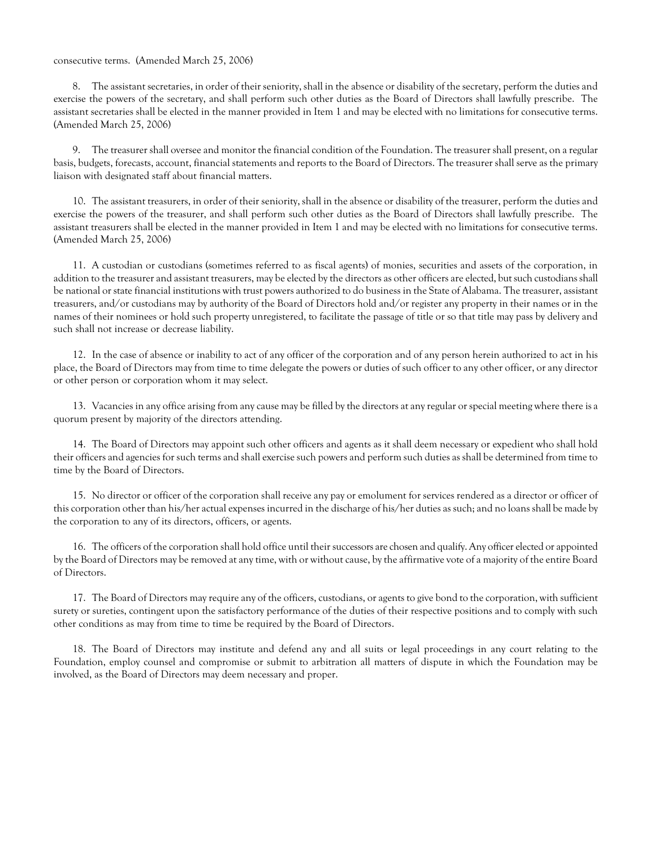#### consecutive terms. (Amended March 25, 2006)

8. The assistant secretaries, in order of their seniority, shall in the absence or disability of the secretary, perform the duties and exercise the powers of the secretary, and shall perform such other duties as the Board of Directors shall lawfully prescribe. The assistant secretaries shall be elected in the manner provided in Item 1 and may be elected with no limitations for consecutive terms. (Amended March 25, 2006)

9. The treasurer shall oversee and monitor the financial condition of the Foundation. The treasurer shall present, on a regular basis, budgets, forecasts, account, financial statements and reports to the Board of Directors. The treasurer shall serve as the primary liaison with designated staff about financial matters.

10. The assistant treasurers, in order of their seniority, shall in the absence or disability of the treasurer, perform the duties and exercise the powers of the treasurer, and shall perform such other duties as the Board of Directors shall lawfully prescribe. The assistant treasurers shall be elected in the manner provided in Item 1 and may be elected with no limitations for consecutive terms. (Amended March 25, 2006)

11. A custodian or custodians (sometimes referred to as fiscal agents) of monies, securities and assets of the corporation, in addition to the treasurer and assistant treasurers, may be elected by the directors as other officers are elected, but such custodians shall be national or state financial institutions with trust powers authorized to do business in the State of Alabama. The treasurer, assistant treasurers, and/or custodians may by authority of the Board of Directors hold and/or register any property in their names or in the names of their nominees or hold such property unregistered, to facilitate the passage of title or so that title may pass by delivery and such shall not increase or decrease liability.

12. In the case of absence or inability to act of any officer of the corporation and of any person herein authorized to act in his place, the Board of Directors may from time to time delegate the powers or duties of such officer to any other officer, or any director or other person or corporation whom it may select.

13. Vacancies in any office arising from any cause may be filled by the directors at any regular or special meeting where there is a quorum present by majority of the directors attending.

14. The Board of Directors may appoint such other officers and agents as it shall deem necessary or expedient who shall hold their officers and agencies for such terms and shall exercise such powers and perform such duties as shall be determined from time to time by the Board of Directors.

15. No director or officer of the corporation shall receive any pay or emolument for services rendered as a director or officer of this corporation other than his/her actual expenses incurred in the discharge of his/her duties as such; and no loans shall be made by the corporation to any of its directors, officers, or agents.

16. The officers of the corporation shall hold office until their successors are chosen and qualify. Any officer elected or appointed by the Board of Directors may be removed at any time, with or without cause, by the affirmative vote of a majority of the entire Board of Directors.

17. The Board of Directors may require any of the officers, custodians, or agents to give bond to the corporation, with sufficient surety or sureties, contingent upon the satisfactory performance of the duties of their respective positions and to comply with such other conditions as may from time to time be required by the Board of Directors.

18. The Board of Directors may institute and defend any and all suits or legal proceedings in any court relating to the Foundation, employ counsel and compromise or submit to arbitration all matters of dispute in which the Foundation may be involved, as the Board of Directors may deem necessary and proper.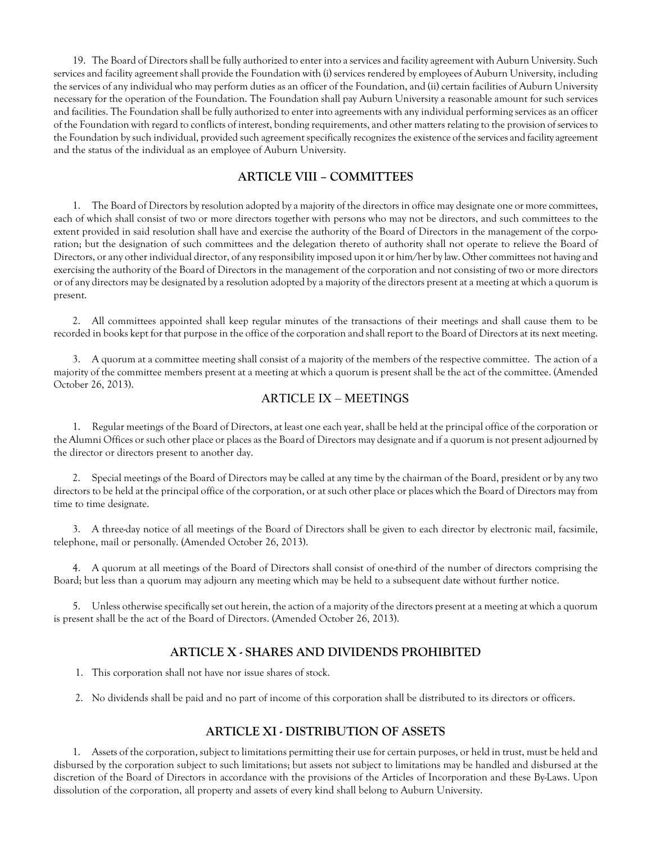19. The Board of Directors shall be fully authorized to enter into a services and facility agreement with Auburn University. Such services and facility agreement shall provide the Foundation with (i) services rendered by employees of Auburn University, including the services of any individual who may perform duties as an officer of the Foundation, and (ii) certain facilities of Auburn University necessary for the operation of the Foundation. The Foundation shall pay Auburn University a reasonable amount for such services and facilities. The Foundation shall be fully authorized to enter into agreements with any individual performing services as an officer of the Foundation with regard to conflicts of interest, bonding requirements, and other matters relating to the provision of servicesto the Foundation by such individual, provided such agreement specifically recognizes the existence of the services and facility agreement and the status of the individual as an employee of Auburn University.

#### **ARTICLE VIII – COMMITTEES**

<span id="page-13-0"></span>1. The Board of Directors by resolution adopted by a majority of the directors in office may designate one or more committees, each of which shall consist of two or more directors together with persons who may not be directors, and such committees to the extent provided in said resolution shall have and exercise the authority of the Board of Directors in the management of the corporation; but the designation of such committees and the delegation thereto of authority shall not operate to relieve the Board of Directors, or any other individual director, of any responsibility imposed upon it or him/her by law. Other committees not having and exercising the authority of the Board of Directors in the management of the corporation and not consisting of two or more directors or of any directors may be designated by a resolution adopted by a majority of the directors present at a meeting at which a quorum is present.

2. All committees appointed shall keep regular minutes of the transactions of their meetings and shall cause them to be recorded in books kept for that purpose in the office of the corporation and shall report to the Board of Directors at its next meeting.

<span id="page-13-1"></span>3. A quorum at a committee meeting shall consist of a majority of the members of the respective committee. The action of a majority of the committee members present at a meeting at which a quorum is present shall be the act of the committee. (Amended October 26, 2013).

#### ARTICLE IX – MEETINGS

1. Regular meetings of the Board of Directors, at least one each year, shall be held at the principal office of the corporation or the Alumni Offices or such other place or places as the Board of Directors may designate and if a quorum is not present adjourned by the director or directors present to another day.

2. Special meetings of the Board of Directors may be called at any time by the chairman of the Board, president or by any two directors to be held at the principal office of the corporation, or at such other place or places which the Board of Directors may from time to time designate.

3. A three-day notice of all meetings of the Board of Directors shall be given to each director by electronic mail, facsimile, telephone, mail or personally. (Amended October 26, 2013).

4. A quorum at all meetings of the Board of Directors shall consist of one-third of the number of directors comprising the Board; but less than a quorum may adjourn any meeting which may be held to a subsequent date without further notice.

<span id="page-13-2"></span>5. Unless otherwise specifically set out herein, the action of a majority of the directors present at a meeting at which a quorum is present shall be the act of the Board of Directors. (Amended October 26, 2013).

#### **ARTICLE X - SHARES AND DIVIDENDS PROHIBITED**

- 1. This corporation shall not have nor issue shares of stock.
- <span id="page-13-3"></span>2. No dividends shall be paid and no part of income of this corporation shall be distributed to its directors or officers.

#### **ARTICLE XI - DISTRIBUTION OF ASSETS**

<span id="page-13-4"></span>1. Assets of the corporation, subject to limitations permitting their use forcertain purposes, or held in trust, must be held and disbursed by the corporation subject to such limitations; but assets not subject to limitations may be handled and disbursed at the discretion of the Board of Directors in accordance with the provisions of the Articles of Incorporation and these By-Laws. Upon dissolution of the corporation, all property and assets of every kind shall belong to Auburn University.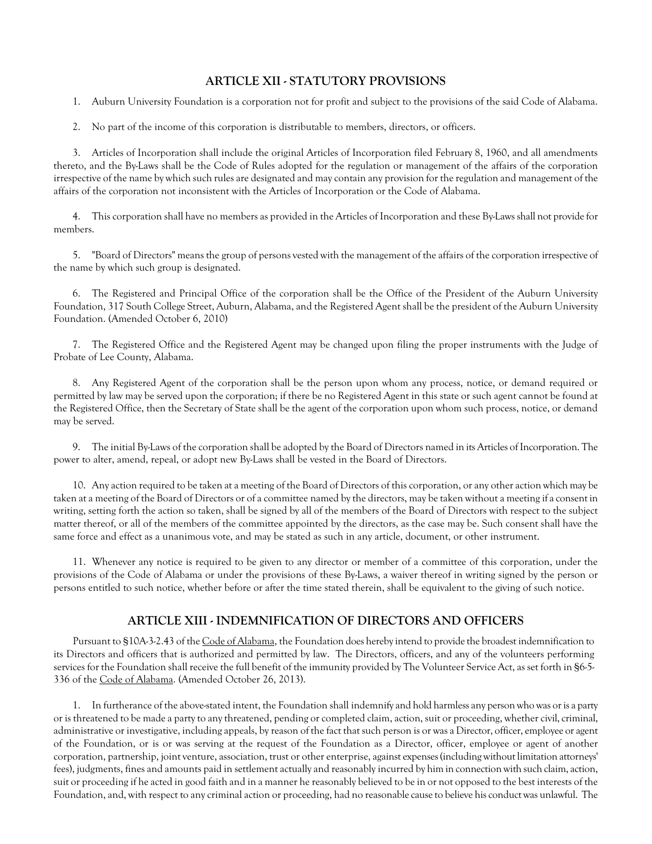#### **ARTICLE XII - STATUTORY PROVISIONS**

1. Auburn University Foundation is a corporation not for profit and subject to the provisions of the said Code of Alabama.

2. No part of the income of this corporation is distributable to members, directors, or officers.

3. Articles of Incorporation shall include the original Articles of Incorporation filed February 8, 1960, and all amendments thereto, and the By-Laws shall be the Code of Rules adopted for the regulation or management of the affairs of the corporation irrespective of the name by which such rules are designated and may contain any provision for the regulation and management of the affairs of the corporation not inconsistent with the Articles of Incorporation or the Code of Alabama.

4. This corporation shall have no members as provided in the Articles of Incorporation and these By-Lawsshall not provide for members.

5. "Board of Directors" means the group of persons vested with the management of the affairs of the corporation irrespective of the name by which such group is designated.

6. The Registered and Principal Office of the corporation shall be the Office of the President of the Auburn University Foundation, 317 South College Street, Auburn, Alabama, and the Registered Agent shall be the president of the Auburn University Foundation. (Amended October 6, 2010)

7. The Registered Office and the Registered Agent may be changed upon filing the proper instruments with the Judge of Probate of Lee County, Alabama.

8. Any Registered Agent of the corporation shall be the person upon whom any process, notice, or demand required or permitted by law may be served upon the corporation; if there be no Registered Agent in this state or such agent cannot be found at the Registered Office, then the Secretary of State shall be the agent of the corporation upon whom such process, notice, or demand may be served.

9. The initial By-Laws of the corporation shall be adopted by the Board of Directors named in its Articles of Incorporation. The power to alter, amend, repeal, or adopt new By-Laws shall be vested in the Board of Directors.

10. Any action required to be taken at a meeting of the Board of Directors of this corporation, or any other action which may be taken at a meeting of the Board of Directors or of a committee named by the directors, may be taken without a meeting if a consent in writing, setting forth the action so taken, shall be signed by all of the members of the Board of Directors with respect to the subject matter thereof, or all of the members of the committee appointed by the directors, as the case may be. Such consent shall have the same force and effect as a unanimous vote, and may be stated as such in any article, document, or other instrument.

<span id="page-14-0"></span>11. Whenever any notice is required to be given to any director or member of a committee of this corporation, under the provisions of the Code of Alabama or under the provisions of these By-Laws, a waiver thereof in writing signed by the person or persons entitled to such notice, whether before or after the time stated therein, shall be equivalent to the giving of such notice.

## **ARTICLE XIII - INDEMNIFICATION OF DIRECTORS AND OFFICERS**

Pursuant to §10A-3-2.43 of the Code of Alabama, the Foundation does hereby intend to provide the broadest indemnification to its Directors and officers that is authorized and permitted by law. The Directors, officers, and any of the volunteers performing services for the Foundation shall receive the full benefit of the immunity provided by The Volunteer Service Act, as set forth in §6-5- 336 of the Code of Alabama. (Amended October 26, 2013).

1. In furtherance of the above-stated intent, the Foundation shall indemnify and hold harmless any person who was or is a party or is threatened to be made a party to any threatened, pending or completed claim, action, suit or proceeding, whether civil, criminal, administrative or investigative, including appeals, by reason of the fact that such person is or was a Director, officer, employee or agent of the Foundation, or is or was serving at the request of the Foundation as a Director, officer, employee or agent of another corporation, partnership, joint venture, association, trust or other enterprise, against expenses (including without limitation attorneys' fees), judgments, fines and amounts paid in settlement actually and reasonably incurred by him in connection with such claim, action, suit or proceeding if he acted in good faith and in a manner he reasonably believed to be in or not opposed to the best interests of the Foundation, and, with respect to any criminal action or proceeding, had no reasonable cause to believe his conduct was unlawful. The